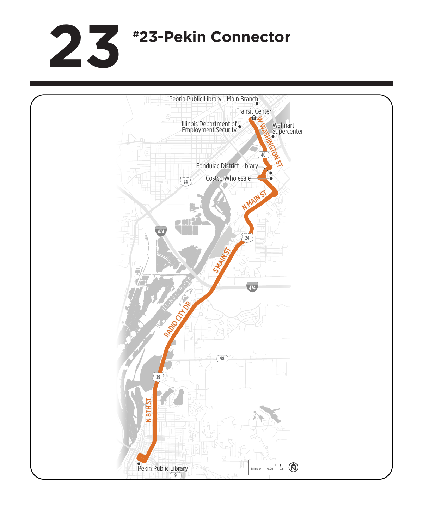